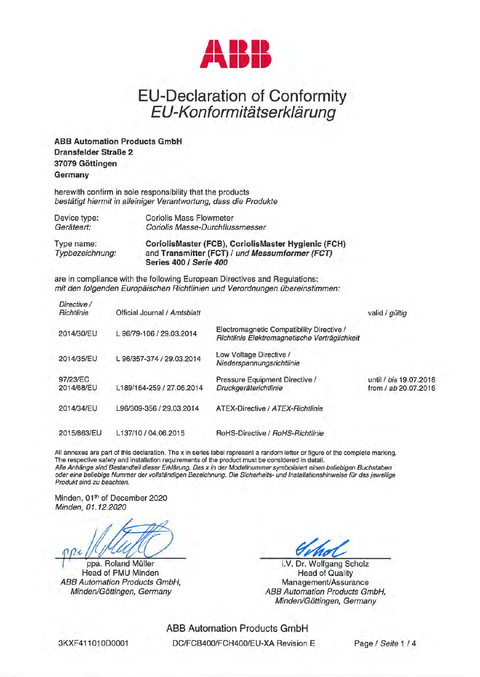

## EU-Declaration of Conformity EU-Konformitätserklärung

**ABB Automation Products GmbH Dransfelder StraBe 2 37079 Gottingen Germany** 

herewith confirm in sole responsibility that the products bestatigt hiermit in alleiniger Verantwortung, dass die Produkte

| Device type:                  | <b>Coriolis Mass Flowmeter</b>                                                                                                  |
|-------------------------------|---------------------------------------------------------------------------------------------------------------------------------|
| Geräteart:                    | Coriolis Masse-Durchflussmesser                                                                                                 |
| Type name:<br>Typbezeichnung: | CoriolisMaster (FCB), CoriolisMaster Hygienic (FCH)<br>and Transmitter (FCT) / und Messumformer (FCT)<br>Series 400 / Serie 400 |

are in compliance with the following European Directives and Regulations: mit den folgenden Europäischen Richtlinien und Verordnungen übereinstimmen:

| Directive /<br>Richtlinie | Official Journal / Amtsblatt |                                                                                            | valid / gültig                                 |
|---------------------------|------------------------------|--------------------------------------------------------------------------------------------|------------------------------------------------|
| 2014/30/EU                | L 96/79-106 / 29.03.2014     | Electromagnetic Compatibility Directive /<br>Richtlinie Elektromagnetische Verträglichkeit |                                                |
| 2014/35/EU                | L 96/357-374 / 29.03.2014    | Low Voltage Directive /<br>Niederspannungsrichtlinie                                       |                                                |
| 97/23/EC<br>2014/68/EU    | L189/164-259 / 27.06.2014    | Pressure Equipment Directive /<br>Druckgeräterichtlinie                                    | until / bis 19.07.2016<br>from / ab 20.07.2016 |
| 2014/34/EU                | L96/309-356 / 29.03.2014     | ATEX-Directive / ATEX-Richtlinie                                                           |                                                |
| 2015/863/EU               | L137/10 / 04.06.2015         | RoHS-Directive / RoHS-Richtlinie                                                           |                                                |

All annexes are part of this declaration. The x in series label represent a random letter or figure of the complete marking. The respective safety and installation requirements of the product must be considered in detail. Alle Anhänge sind Bestandteil dieser Erklärung. Das x in der Modellnummer symbolisiert einen beliebigen Buchstaben oder eine be/iebige Nummer der vollstandigen Bezeichnung. Die Sicherheits- und lnstallationshinweise fur das jeweilige Produkt sind zu beachten.

Minden, 01<sup>th</sup> of December 2020 Minden, 01.12.2020

ppa. Roland Müller Head of PMU Minden ABB Automation Products GmbH, Minden/Göttingen, Germany

i.V. Dr. Wolfgang Scholz Head of Quality Management/Assurance ABB Automation Products GmbH, Minden/Göttingen, Germany

ABB Automation Products GmbH DC/FCB400/FCH400/EU-XA Revision E Page / Seite 1 / 4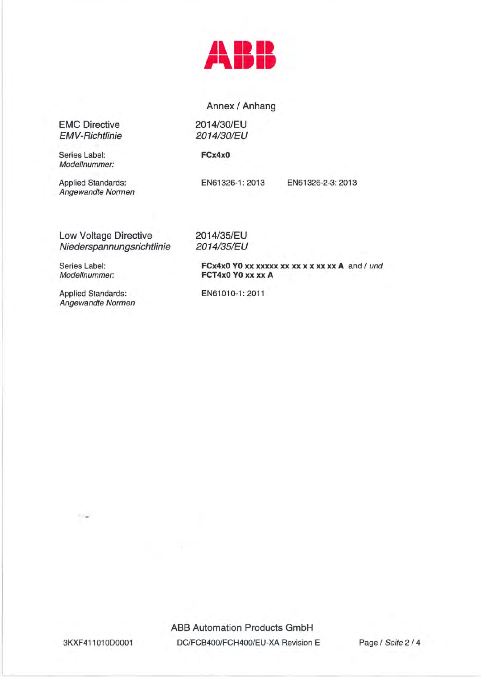

## Annex / Anhang

2014/30/EU 2014/30/EU

## **FCx4xO**

2014/35/EU 2014/35/EU

EMC Directive EMV-Richtlinie

Series Label: Modellnummer:

Applied Standards: Angewandte Normen

EN61326-1: 2013

EN61326-2-3: 2013

Low Voltage Directive Niederspannungsrichtlinie

Series Label: Modellnummer:

**FCT4xO YO xx xx A** 

**FCx4x0 YO xx xxxxx xx xx x x x x x x A** and / und

Applied Standards: Angewandte Normen EN61010-1: 2011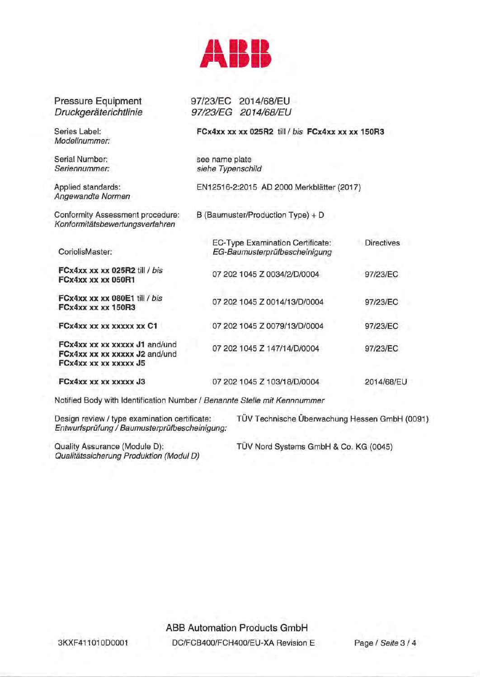

Pressure Equipment **Druckgeräterichtlinie** 

Modellnummer:

Serial Number: Seriennummer:

Angewandte Normen

Conformity Assessment procedure: Konformitatsbewertungsverfahren

CoriolisMaster:

**FCx4xx xx xx 025R2 till FCx4xx xx xx 050R1** 

**FCx4xx xx xx 080E1** till / bis **FCx4xx xx xx 150R3** 

**FCx4xx xx xx xxxxx xx** 

**FCx4xx xx xx xxxxx J1 FCx4xx xx xx xxxxx J2 FCx4xx xx xx xxxxx JS** 

**FCx4xx xx xx xxxxx J3** 

97/23/EC 2014/68/EU 97/23/EG 2014/68/EU

Series Label: **FCx4xx xx xx 025R2** till / bis **FCx4xx xx xx 150R3** 

see name plate siehe Typenschild

Applied standards: EN12516-2:2015 AD 2000 Merkblatter (2017)

B (Baumuster/Production Type) + D

|                    | EC-Type Examination Certificate:<br>EG-Baumusterprüfbescheinigung | <b>Directives</b> |
|--------------------|-------------------------------------------------------------------|-------------------|
| / bis              | 07 202 1045 Z 0034/2/D/0004                                       | 97/23/EC          |
| / bis              | 07 202 1045 Z 0014/13/D/0004                                      | 97/23/EC          |
| C1                 | 07 202 1045 Z 0079/13/D/0004                                      | 97/23/EC          |
| and/und<br>and/und | 07 202 1045 Z 147/14/D/0004                                       | 97/23/EC          |
|                    | 07 202 1045 Z 103/18/D/0004                                       | 2014/68/EU        |

Notified Body with Identification Number/ Benannte Stelle mit Kennnummer

Entwurfsprüfung / Baumusterprüfbescheinigung:

Design review / type examination certificate: TÜV Technische Überwachung Hessen GmbH (0091)

Qualitatssicherung Produktion (Modul D)

Quality Assurance (Module D): TÜV Nord Systems GmbH & Co. KG (0045)

ABB Automation Products GmbH DC/FCB400/FCH400/EU-XA Revision E Page / Seite 3 / 4